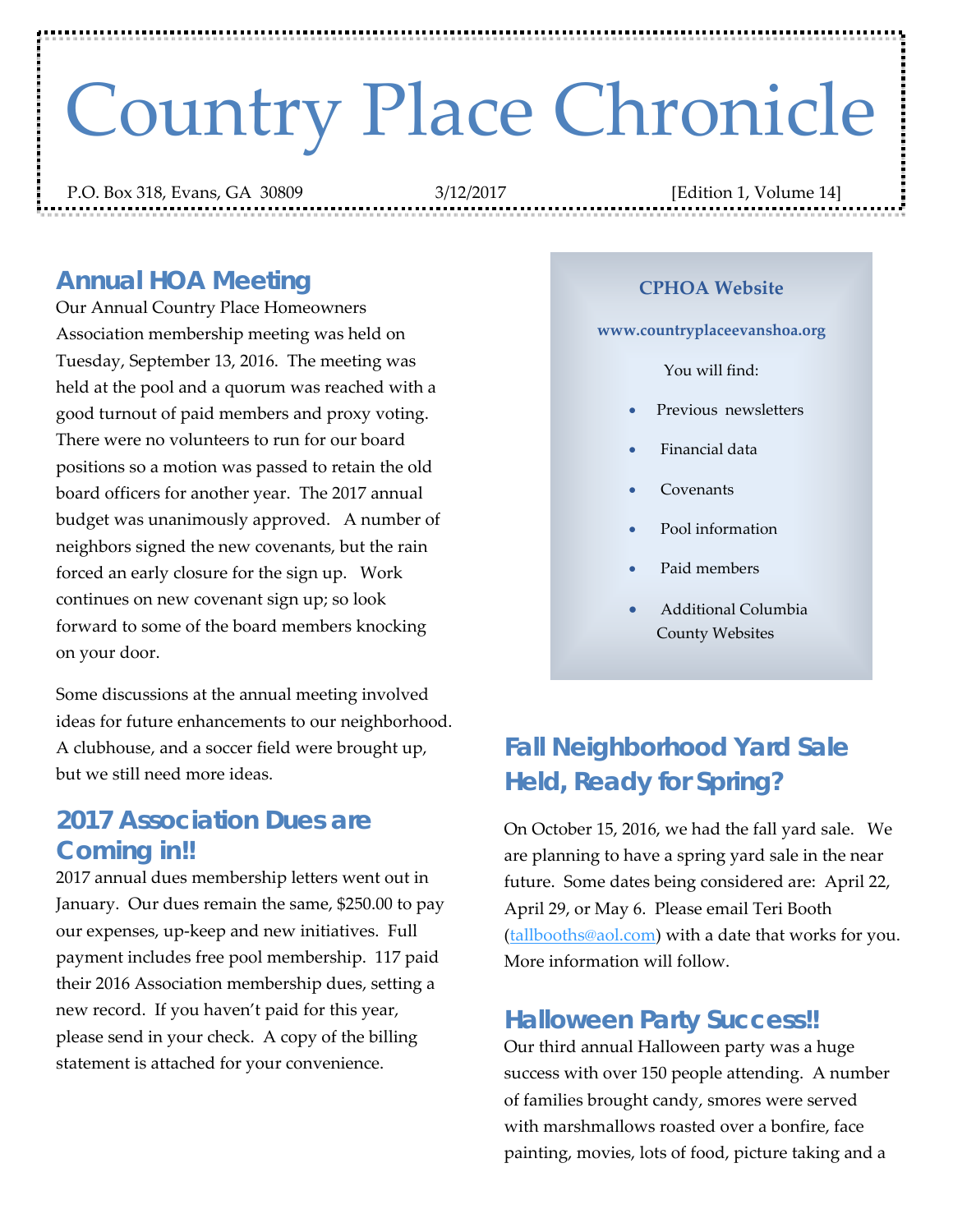# Country Place Chronicle

P.O. Box 318, Evans, GA 30809 3/12/2017 [Edition 1, Volume 14]

# *Annual HOA Meeting*

Our Annual Country Place Homeowners Association membership meeting was held on Tuesday, September 13, 2016. The meeting was held at the pool and a quorum was reached with a good turnout of paid members and proxy voting. There were no volunteers to run for our board positions so a motion was passed to retain the old board officers for another year. The 2017 annual budget was unanimously approved. A number of neighbors signed the new covenants, but the rain forced an early closure for the sign up. Work continues on new covenant sign up; so look forward to some of the board members knocking on your door.

Some discussions at the annual meeting involved ideas for future enhancements to our neighborhood. A clubhouse, and a soccer field were brought up, but we still need more ideas.

#### *2017 Association Dues are Coming in!!*

2017 annual dues membership letters went out in January. Our dues remain the same, \$250.00 to pay our expenses, up‐keep and new initiatives. Full payment includes free pool membership. 117 paid their 2016 Association membership dues, setting a new record. If you haven't paid for this year, please send in your check. A copy of the billing statement is attached for your convenience.

#### **CPHOA Website**

#### **www.countryplaceevanshoa.org**

You will find:

- Previous newsletters
- Financial data
- Covenants
- Pool information
- Paid members
- Additional Columbia County Websites

# *Fall Neighborhood Yard Sale Held, Ready for Spring?*

On October 15, 2016, we had the fall yard sale. We are planning to have a spring yard sale in the near future. Some dates being considered are: April 22, April 29, or May 6. Please email Teri Booth (tallbooths@aol.com) with a date that works for you. More information will follow.

## *Halloween Party Success!!*

Our third annual Halloween party was a huge success with over 150 people attending. A number of families brought candy, smores were served with marshmallows roasted over a bonfire, face painting, movies, lots of food, picture taking and a